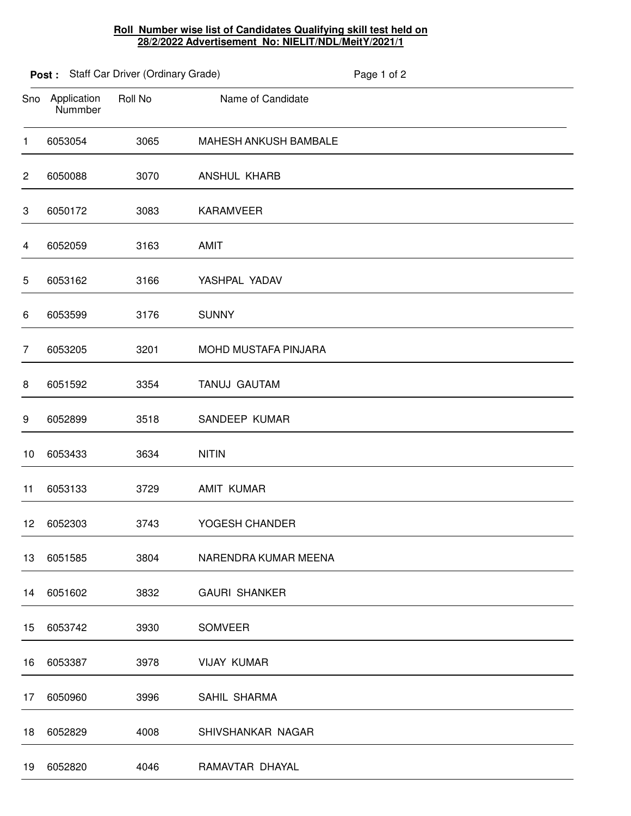## **Roll Number wise list of Candidates Qualifying skill test held on 28/2/2022 Advertisement No: NIELIT/NDL/MeitY/2021/1**

|                |                        | Post: Staff Car Driver (Ordinary Grade) |                       | Page 1 of 2 |
|----------------|------------------------|-----------------------------------------|-----------------------|-------------|
| Sno            | Application<br>Nummber | Roll No                                 | Name of Candidate     |             |
| $\mathbf{1}$   | 6053054                | 3065                                    | MAHESH ANKUSH BAMBALE |             |
| $\overline{c}$ | 6050088                | 3070                                    | <b>ANSHUL KHARB</b>   |             |
| 3              | 6050172                | 3083                                    | <b>KARAMVEER</b>      |             |
| 4              | 6052059                | 3163                                    | <b>AMIT</b>           |             |
| 5              | 6053162                | 3166                                    | YASHPAL YADAV         |             |
| 6              | 6053599                | 3176                                    | <b>SUNNY</b>          |             |
| $\overline{7}$ | 6053205                | 3201                                    | MOHD MUSTAFA PINJARA  |             |
| 8              | 6051592                | 3354                                    | TANUJ GAUTAM          |             |
| 9              | 6052899                | 3518                                    | SANDEEP KUMAR         |             |
| 10             | 6053433                | 3634                                    | <b>NITIN</b>          |             |
| 11             | 6053133                | 3729                                    | AMIT KUMAR            |             |
| 12             | 6052303                | 3743                                    | YOGESH CHANDER        |             |
| 13             | 6051585                | 3804                                    | NARENDRA KUMAR MEENA  |             |
| 14             | 6051602                | 3832                                    | <b>GAURI SHANKER</b>  |             |
| 15             | 6053742                | 3930                                    | SOMVEER               |             |
| 16             | 6053387                | 3978                                    | <b>VIJAY KUMAR</b>    |             |
| 17             | 6050960                | 3996                                    | SAHIL SHARMA          |             |
| 18             | 6052829                | 4008                                    | SHIVSHANKAR NAGAR     |             |
| 19             | 6052820                | 4046                                    | RAMAVTAR DHAYAL       |             |